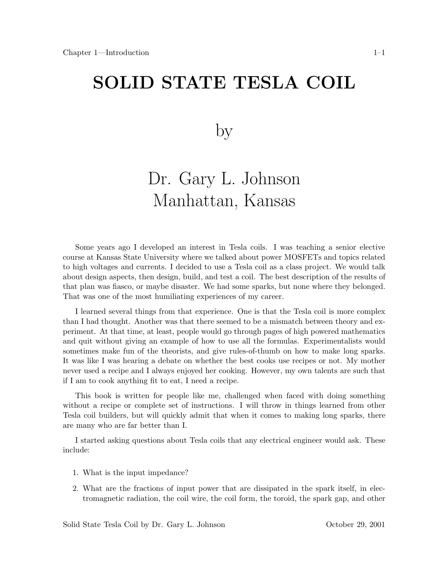# **SOLID STATE TEST CONTROL**

#### by

# Dr. Gary L. Johnson Manhattan, Kansas

Some years ago I developed an interest in Tesla coils. I was teaching a senior elective course at Kansas State University where we talked about power MOSFETs and topics related to high voltages and currents. I decided to use a Tesla coil as a class project. We would talk about design aspects, then design, build, and test a coil. The best description of the results of that plan was fiasco, or maybe disaster. We had some sparks, but none where they belonged. That was one of the most humiliating experiences of my career.

I learned several things from that experience. One is that the Tesla coil is more complex than I had thought. Another was that there seemed to be a mismatch between theory and experiment. At that time, at least, people would go through pages of high powered mathematics and quit without giving an example of how to use all the formulas. Experimentalists would sometimes make fun of the theorists, and give rules-of-thumb on how to make long sparks. It was like I was hearing a debate on whether the best cooks use recipes or not. My mother never used a recipe and I always enjoyed her cooking. However, my own talents are such that if I am to cook anything fit to eat, I need a recipe.

This book is written for people like me, challenged when faced with doing something without a recipe or complete set of instructions. I will throw in things learned from other Tesla coil builders, but will quickly admit that when it comes to making long sparks, there are many who are far better than I.

I started asking questions about Tesla coils that any electrical engineer would ask. These include:

- 1. What is the input impedance?
- 2. What are the fractions of input power that are dissipated in the spark itself, in electromagnetic radiation, the coil wire, the coil form, the toroid, the spark gap, and other

Solid State Tesla Coil by Dr. Gary L. Johnson October 29, 2001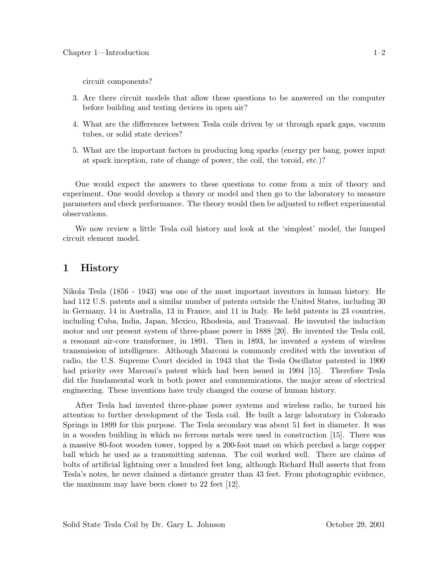circuit components?

- 3. Are there circuit models that allow these questions to be answered on the computer before building and testing devices in open air?
- 4. What are the differences between Tesla coils driven by or through spark gaps, vacuum tubes, or solid state devices?
- 5. What are the important factors in producing long sparks (energy per bang, power input at spark inception, rate of change of power, the coil, the toroid, etc.)?

One would expect the answers to these questions to come from a mix of theory and experiment. One would develop a theory or model and then go to the laboratory to measure parameters and check performance. The theory would then be adjusted to reflect experimental observations.

We now review a little Tesla coil history and look at the 'simplest' model, the lumped circuit element model.

#### **1 History**

Nikola Tesla (1856 - 1943) was one of the most important inventors in human history. He had 112 U.S. patents and a similar number of patents outside the United States, including 30 in Germany, 14 in Australia, 13 in France, and 11 in Italy. He held patents in 23 countries, including Cuba, India, Japan, Mexico, Rhodesia, and Transvaal. He invented the induction motor and our present system of three-phase power in 1888 [20]. He invented the Tesla coil, a resonant air-core transformer, in 1891. Then in 1893, he invented a system of wireless transmission of intelligence. Although Marconi is commonly credited with the invention of radio, the U.S. Supreme Court decided in 1943 that the Tesla Oscillator patented in 1900 had priority over Marconi's patent which had been issued in 1904 [15]. Therefore Tesla did the fundamental work in both power and communications, the major areas of electrical engineering. These inventions have truly changed the course of human history.

After Tesla had invented three-phase power systems and wireless radio, he turned his attention to further development of the Tesla coil. He built a large laboratory in Colorado Springs in 1899 for this purpose. The Tesla secondary was about 51 feet in diameter. It was in a wooden building in which no ferrous metals were used in construction [15]. There was a massive 80-foot wooden tower, topped by a 200-foot mast on which perched a large copper ball which he used as a transmitting antenna. The coil worked well. There are claims of bolts of artificial lightning over a hundred feet long, although Richard Hull asserts that from Tesla's notes, he never claimed a distance greater than 43 feet. From photographic evidence, the maximum may have been closer to 22 feet [12].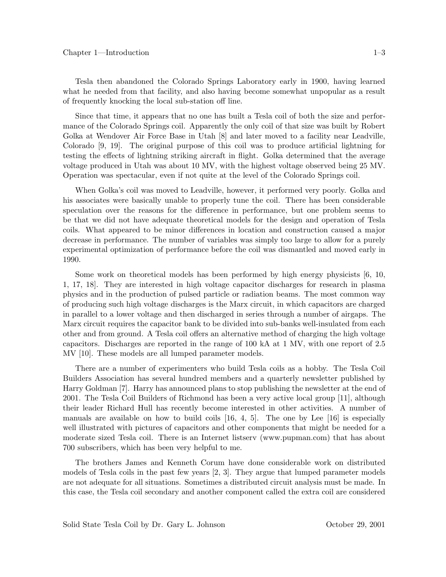Tesla then abandoned the Colorado Springs Laboratory early in 1900, having learned what he needed from that facility, and also having become somewhat unpopular as a result of frequently knocking the local sub-station off line.

Since that time, it appears that no one has built a Tesla coil of both the size and performance of the Colorado Springs coil. Apparently the only coil of that size was built by Robert Golka at Wendover Air Force Base in Utah [8] and later moved to a facility near Leadville, Colorado [9, 19]. The original purpose of this coil was to produce artificial lightning for testing the effects of lightning striking aircraft in flight. Golka determined that the average voltage produced in Utah was about 10 MV, with the highest voltage observed being 25 MV. Operation was spectacular, even if not quite at the level of the Colorado Springs coil.

When Golka's coil was moved to Leadville, however, it performed very poorly. Golka and his associates were basically unable to properly tune the coil. There has been considerable speculation over the reasons for the difference in performance, but one problem seems to be that we did not have adequate theoretical models for the design and operation of Tesla coils. What appeared to be minor differences in location and construction caused a major decrease in performance. The number of variables was simply too large to allow for a purely experimental optimization of performance before the coil was dismantled and moved early in 1990.

Some work on theoretical models has been performed by high energy physicists [6, 10, 1, 17, 18]. They are interested in high voltage capacitor discharges for research in plasma physics and in the production of pulsed particle or radiation beams. The most common way of producing such high voltage discharges is the Marx circuit, in which capacitors are charged in parallel to a lower voltage and then discharged in series through a number of airgaps. The Marx circuit requires the capacitor bank to be divided into sub-banks well-insulated from each other and from ground. A Tesla coil offers an alternative method of charging the high voltage capacitors. Discharges are reported in the range of 100 kA at 1 MV, with one report of 2.5 MV [10]. These models are all lumped parameter models.

There are a number of experimenters who build Tesla coils as a hobby. The Tesla Coil Builders Association has several hundred members and a quarterly newsletter published by Harry Goldman [7]. Harry has announced plans to stop publishing the newsletter at the end of 2001. The Tesla Coil Builders of Richmond has been a very active local group [11], although their leader Richard Hull has recently become interested in other activities. A number of manuals are available on how to build coils  $[16, 4, 5]$ . The one by Lee  $[16]$  is especially well illustrated with pictures of capacitors and other components that might be needed for a moderate sized Tesla coil. There is an Internet listserv (www.pupman.com) that has about 700 subscribers, which has been very helpful to me.

The brothers James and Kenneth Corum have done considerable work on distributed models of Tesla coils in the past few years [2, 3]. They argue that lumped parameter models are not adequate for all situations. Sometimes a distributed circuit analysis must be made. In this case, the Tesla coil secondary and another component called the extra coil are considered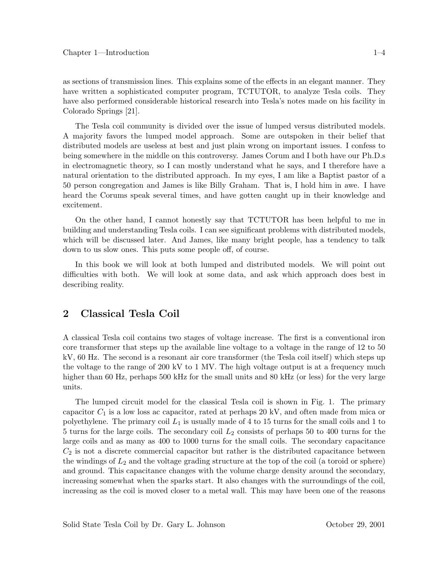as sections of transmission lines. This explains some of the effects in an elegant manner. They have written a sophisticated computer program, TCTUTOR, to analyze Tesla coils. They have also performed considerable historical research into Tesla's notes made on his facility in Colorado Springs [21].

The Tesla coil community is divided over the issue of lumped versus distributed models. A majority favors the lumped model approach. Some are outspoken in their belief that distributed models are useless at best and just plain wrong on important issues. I confess to being somewhere in the middle on this controversy. James Corum and I both have our Ph.D.s in electromagnetic theory, so I can mostly understand what he says, and I therefore have a natural orientation to the distributed approach. In my eyes, I am like a Baptist pastor of a 50 person congregation and James is like Billy Graham. That is, I hold him in awe. I have heard the Corums speak several times, and have gotten caught up in their knowledge and excitement.

On the other hand, I cannot honestly say that TCTUTOR has been helpful to me in building and understanding Tesla coils. I can see significant problems with distributed models, which will be discussed later. And James, like many bright people, has a tendency to talk down to us slow ones. This puts some people off, of course.

In this book we will look at both lumped and distributed models. We will point out difficulties with both. We will look at some data, and ask which approach does best in describing reality.

## **2 Classical Tesla Coil**

A classical Tesla coil contains two stages of voltage increase. The first is a conventional iron core transformer that steps up the available line voltage to a voltage in the range of 12 to 50 kV, 60 Hz. The second is a resonant air core transformer (the Tesla coil itself) which steps up the voltage to the range of 200 kV to 1 MV. The high voltage output is at a frequency much higher than 60 Hz, perhaps 500 kHz for the small units and 80 kHz (or less) for the very large units.

The lumped circuit model for the classical Tesla coil is shown in Fig. 1. The primary capacitor  $C_1$  is a low loss ac capacitor, rated at perhaps 20 kV, and often made from mica or polyethylene. The primary coil  $L_1$  is usually made of 4 to 15 turns for the small coils and 1 to 5 turns for the large coils. The secondary coil  $L_2$  consists of perhaps 50 to 400 turns for the large coils and as many as 400 to 1000 turns for the small coils. The secondary capacitance  $C_2$  is not a discrete commercial capacitor but rather is the distributed capacitance between the windings of  $L_2$  and the voltage grading structure at the top of the coil (a toroid or sphere) and ground. This capacitance changes with the volume charge density around the secondary, increasing somewhat when the sparks start. It also changes with the surroundings of the coil, increasing as the coil is moved closer to a metal wall. This may have been one of the reasons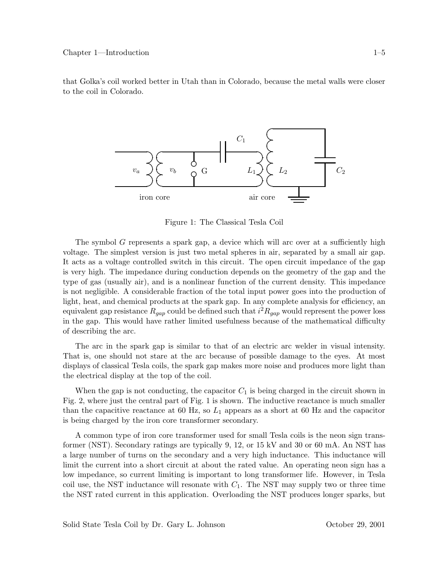that Golka's coil worked better in Utah than in Colorado, because the metal walls were closer to the coil in Colorado.



Figure 1: The Classical Tesla Coil

The symbol G represents a spark gap, a device which will arc over at a sufficiently high voltage. The simplest version is just two metal spheres in air, separated by a small air gap. It acts as a voltage controlled switch in this circuit. The open circuit impedance of the gap is very high. The impedance during conduction depends on the geometry of the gap and the type of gas (usually air), and is a nonlinear function of the current density. This impedance is not negligible. A considerable fraction of the total input power goes into the production of light, heat, and chemical products at the spark gap. In any complete analysis for efficiency, an equivalent gap resistance  $R_{gap}$  could be defined such that  $i^2 R_{gap}$  would represent the power loss<br>in the gap. This would have nather limited usefulness because of the mathematical difficulty in the gap. This would have rather limited usefulness because of the mathematical difficulty of describing the arc.

The arc in the spark gap is similar to that of an electric arc welder in visual intensity. That is, one should not stare at the arc because of possible damage to the eyes. At most displays of classical Tesla coils, the spark gap makes more noise and produces more light than the electrical display at the top of the coil.

When the gap is not conducting, the capacitor  $C_1$  is being charged in the circuit shown in Fig. 2, where just the central part of Fig. 1 is shown. The inductive reactance is much smaller than the capacitive reactance at 60 Hz, so  $L_1$  appears as a short at 60 Hz and the capacitor is being charged by the iron core transformer secondary.

A common type of iron core transformer used for small Tesla coils is the neon sign transformer (NST). Secondary ratings are typically 9, 12, or 15 kV and 30 or 60 mA. An NST has a large number of turns on the secondary and a very high inductance. This inductance will limit the current into a short circuit at about the rated value. An operating neon sign has a low impedance, so current limiting is important to long transformer life. However, in Tesla coil use, the NST inductance will resonate with  $C_1$ . The NST may supply two or three time the NST rated current in this application. Overloading the NST produces longer sparks, but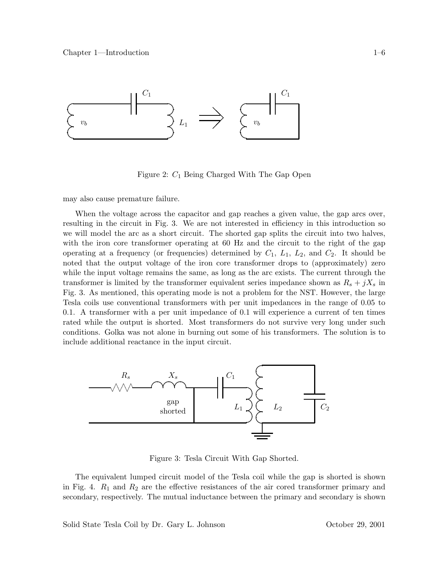

Figure 2: C<sup>1</sup> Being Charged With The Gap Open

may also cause premature failure.

When the voltage across the capacitor and gap reaches a given value, the gap arcs over, resulting in the circuit in Fig. 3. We are not interested in efficiency in this introduction so we will model the arc as a short circuit. The shorted gap splits the circuit into two halves, with the iron core transformer operating at 60 Hz and the circuit to the right of the gap operating at a frequency (or frequencies) determined by  $C_1$ ,  $L_1$ ,  $L_2$ , and  $C_2$ . It should be noted that the output voltage of the iron core transformer drops to (approximately) zero while the input voltage remains the same, as long as the arc exists. The current through the transformer is limited by the transformer equivalent series impedance shown as  $R_s + jX_s$  in Fig. 3. As mentioned, this operating mode is not a problem for the NST. However, the large Tesla coils use conventional transformers with per unit impedances in the range of 0.05 to 0.1. A transformer with a per unit impedance of 0.1 will experience a current of ten times rated while the output is shorted. Most transformers do not survive very long under such conditions. Golka was not alone in burning out some of his transformers. The solution is to include additional reactance in the input circuit.



Figure 3: Tesla Circuit With Gap Shorted.

The equivalent lumped circuit model of the Tesla coil while the gap is shorted is shown in Fig. 4.  $R_1$  and  $R_2$  are the effective resistances of the air cored transformer primary and secondary, respectively. The mutual inductance between the primary and secondary is shown

Solid State Tesla Coil by Dr. Gary L. Johnson October 29, 2001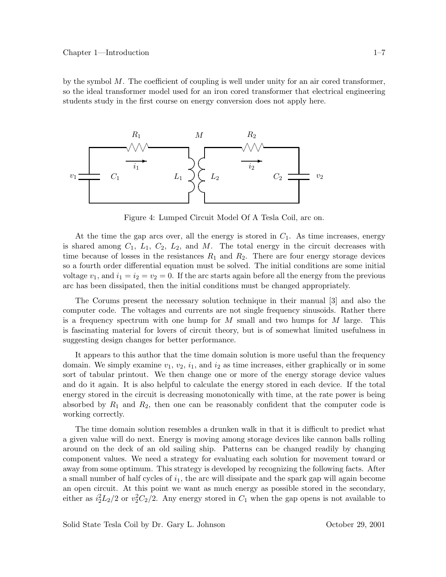by the symbol  $M$ . The coefficient of coupling is well under unity for an air cored transformer, so the ideal transformer model used for an iron cored transformer that electrical engineering students study in the first course on energy conversion does not apply here.



Figure 4: Lumped Circuit Model Of A Tesla Coil, arc on.

At the time the gap arcs over, all the energy is stored in  $C_1$ . As time increases, energy is shared among  $C_1$ ,  $L_1$ ,  $C_2$ ,  $L_2$ , and M. The total energy in the circuit decreases with time because of losses in the resistances  $R_1$  and  $R_2$ . There are four energy storage devices so a fourth order differential equation must be solved. The initial conditions are some initial voltage  $v_1$ , and  $i_1 = i_2 = v_2 = 0$ . If the arc starts again before all the energy from the previous arc has been dissipated, then the initial conditions must be changed appropriately.

The Corums present the necessary solution technique in their manual [3] and also the computer code. The voltages and currents are not single frequency sinusoids. Rather there is a frequency spectrum with one hump for  $M$  small and two humps for  $M$  large. This is fascinating material for lovers of circuit theory, but is of somewhat limited usefulness in suggesting design changes for better performance.

It appears to this author that the time domain solution is more useful than the frequency domain. We simply examine  $v_1, v_2, i_1$ , and  $i_2$  as time increases, either graphically or in some sort of tabular printout. We then change one or more of the energy storage device values and do it again. It is also helpful to calculate the energy stored in each device. If the total energy stored in the circuit is decreasing monotonically with time, at the rate power is being absorbed by  $R_1$  and  $R_2$ , then one can be reasonably confident that the computer code is working correctly.

The time domain solution resembles a drunken walk in that it is difficult to predict what a given value will do next. Energy is moving among storage devices like cannon balls rolling around on the deck of an old sailing ship. Patterns can be changed readily by changing component values. We need a strategy for evaluating each solution for movement toward or away from some optimum. This strategy is developed by recognizing the following facts. After a small number of half cycles of  $i_1$ , the arc will dissipate and the spark gap will again become an open circuit. At this point we want as much energy as possible stored in the secondary, either as  $i_2^2L_2/2$  or  $v_2^2C_2/2$ . Any energy stored in  $C_1$  when the gap opens is not available to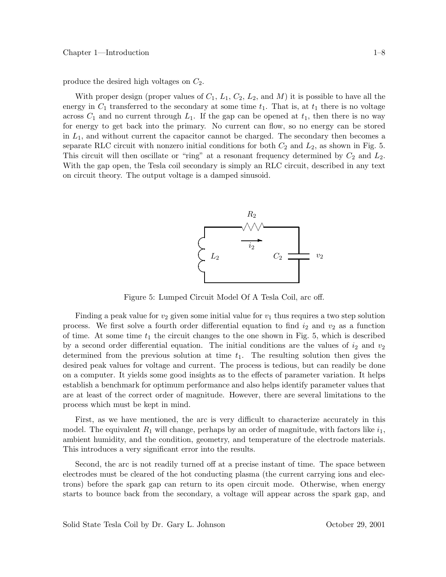produce the desired high voltages on  $C_2$ .

With proper design (proper values of  $C_1$ ,  $L_1$ ,  $C_2$ ,  $L_2$ , and M) it is possible to have all the energy in  $C_1$  transferred to the secondary at some time  $t_1$ . That is, at  $t_1$  there is no voltage across  $C_1$  and no current through  $L_1$ . If the gap can be opened at  $t_1$ , then there is no way for energy to get back into the primary. No current can flow, so no energy can be stored in  $L_1$ , and without current the capacitor cannot be charged. The secondary then becomes a separate RLC circuit with nonzero initial conditions for both  $C_2$  and  $L_2$ , as shown in Fig. 5. This circuit will then oscillate or "ring" at a resonant frequency determined by  $C_2$  and  $L_2$ . With the gap open, the Tesla coil secondary is simply an RLC circuit, described in any text on circuit theory. The output voltage is a damped sinusoid.



Figure 5: Lumped Circuit Model Of A Tesla Coil, arc off.

Finding a peak value for  $v_2$  given some initial value for  $v_1$  thus requires a two step solution process. We first solve a fourth order differential equation to find  $i_2$  and  $v_2$  as a function of time. At some time  $t_1$  the circuit changes to the one shown in Fig. 5, which is described by a second order differential equation. The initial conditions are the values of  $i_2$  and  $v_2$ determined from the previous solution at time  $t_1$ . The resulting solution then gives the desired peak values for voltage and current. The process is tedious, but can readily be done on a computer. It yields some good insights as to the effects of parameter variation. It helps establish a benchmark for optimum performance and also helps identify parameter values that are at least of the correct order of magnitude. However, there are several limitations to the process which must be kept in mind.

First, as we have mentioned, the arc is very difficult to characterize accurately in this model. The equivalent  $R_1$  will change, perhaps by an order of magnitude, with factors like  $i_1$ , ambient humidity, and the condition, geometry, and temperature of the electrode materials. This introduces a very significant error into the results.

Second, the arc is not readily turned off at a precise instant of time. The space between electrodes must be cleared of the hot conducting plasma (the current carrying ions and electrons) before the spark gap can return to its open circuit mode. Otherwise, when energy starts to bounce back from the secondary, a voltage will appear across the spark gap, and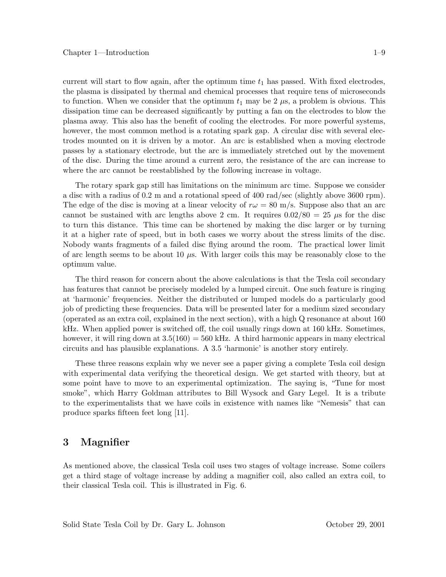current will start to flow again, after the optimum time  $t_1$  has passed. With fixed electrodes, the plasma is dissipated by thermal and chemical processes that require tens of microseconds to function. When we consider that the optimum  $t_1$  may be 2  $\mu$ s, a problem is obvious. This dissipation time can be decreased significantly by putting a fan on the electrodes to blow the plasma away. This also has the benefit of cooling the electrodes. For more powerful systems, however, the most common method is a rotating spark gap. A circular disc with several electrodes mounted on it is driven by a motor. An arc is established when a moving electrode passes by a stationary electrode, but the arc is immediately stretched out by the movement of the disc. During the time around a current zero, the resistance of the arc can increase to where the arc cannot be reestablished by the following increase in voltage.

The rotary spark gap still has limitations on the minimum arc time. Suppose we consider a disc with a radius of 0.2 m and a rotational speed of 400 rad/sec (slightly above 3600 rpm). The edge of the disc is moving at a linear velocity of  $r\omega = 80$  m/s. Suppose also that an arc cannot be sustained with arc lengths above 2 cm. It requires  $0.02/80 = 25 \mu s$  for the disc to turn this distance. This time can be shortened by making the disc larger or by turning it at a higher rate of speed, but in both cases we worry about the stress limits of the disc. Nobody wants fragments of a failed disc flying around the room. The practical lower limit of arc length seems to be about 10  $\mu$ s. With larger coils this may be reasonably close to the optimum value.

The third reason for concern about the above calculations is that the Tesla coil secondary has features that cannot be precisely modeled by a lumped circuit. One such feature is ringing at 'harmonic' frequencies. Neither the distributed or lumped models do a particularly good job of predicting these frequencies. Data will be presented later for a medium sized secondary (operated as an extra coil, explained in the next section), with a high Q resonance at about 160 kHz. When applied power is switched off, the coil usually rings down at 160 kHz. Sometimes, however, it will ring down at  $3.5(160) = 560$  kHz. A third harmonic appears in many electrical circuits and has plausible explanations. A 3.5 'harmonic' is another story entirely.

These three reasons explain why we never see a paper giving a complete Tesla coil design with experimental data verifying the theoretical design. We get started with theory, but at some point have to move to an experimental optimization. The saying is, "Tune for most smoke", which Harry Goldman attributes to Bill Wysock and Gary Legel. It is a tribute to the experimentalists that we have coils in existence with names like "Nemesis" that can produce sparks fifteen feet long [11].

#### 3 **3 19 Magnetic**

As mentioned above, the classical Tesla coil uses two stages of voltage increase. Some coilers get a third stage of voltage increase by adding a magnifier coil, also called an extra coil, to their classical Tesla coil. This is illustrated in Fig. 6.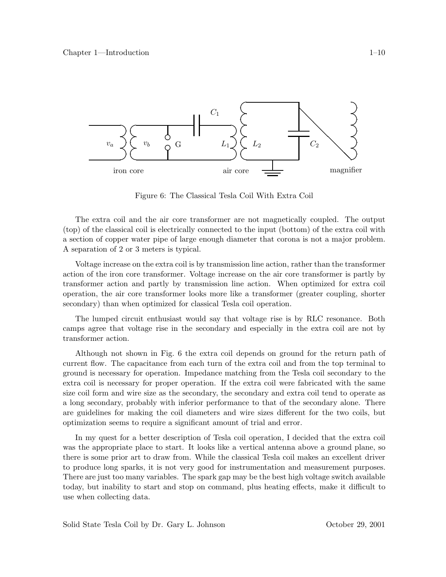

Figure 6: The Classical Tesla Coil With Extra Coil

The extra coil and the air core transformer are not magnetically coupled. The output (top) of the classical coil is electrically connected to the input (bottom) of the extra coil with a section of copper water pipe of large enough diameter that corona is not a major problem. A separation of 2 or 3 meters is typical.

Voltage increase on the extra coil is by transmission line action, rather than the transformer action of the iron core transformer. Voltage increase on the air core transformer is partly by transformer action and partly by transmission line action. When optimized for extra coil operation, the air core transformer looks more like a transformer (greater coupling, shorter secondary) than when optimized for classical Tesla coil operation.

The lumped circuit enthusiast would say that voltage rise is by RLC resonance. Both camps agree that voltage rise in the secondary and especially in the extra coil are not by transformer action.

Although not shown in Fig. 6 the extra coil depends on ground for the return path of current flow. The capacitance from each turn of the extra coil and from the top terminal to ground is necessary for operation. Impedance matching from the Tesla coil secondary to the extra coil is necessary for proper operation. If the extra coil were fabricated with the same size coil form and wire size as the secondary, the secondary and extra coil tend to operate as a long secondary, probably with inferior performance to that of the secondary alone. There are guidelines for making the coil diameters and wire sizes different for the two coils, but optimization seems to require a significant amount of trial and error.

In my quest for a better description of Tesla coil operation, I decided that the extra coil was the appropriate place to start. It looks like a vertical antenna above a ground plane, so there is some prior art to draw from. While the classical Tesla coil makes an excellent driver to produce long sparks, it is not very good for instrumentation and measurement purposes. There are just too many variables. The spark gap may be the best high voltage switch available today, but inability to start and stop on command, plus heating effects, make it difficult to use when collecting data.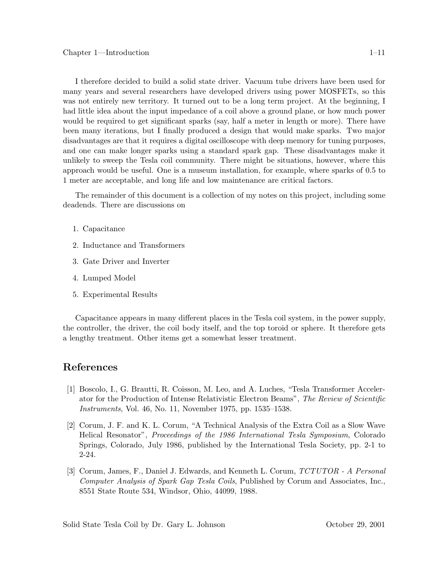I therefore decided to build a solid state driver. Vacuum tube drivers have been used for many years and several researchers have developed drivers using power MOSFETs, so this was not entirely new territory. It turned out to be a long term project. At the beginning, I had little idea about the input impedance of a coil above a ground plane, or how much power would be required to get significant sparks (say, half a meter in length or more). There have been many iterations, but I finally produced a design that would make sparks. Two major disadvantages are that it requires a digital oscilloscope with deep memory for tuning purposes, and one can make longer sparks using a standard spark gap. These disadvantages make it unlikely to sweep the Tesla coil community. There might be situations, however, where this approach would be useful. One is a museum installation, for example, where sparks of 0.5 to 1 meter are acceptable, and long life and low maintenance are critical factors.

The remainder of this document is a collection of my notes on this project, including some deadends. There are discussions on

- 1. Capacitance
- 2. Inductance and Transformers
- 3. Gate Driver and Inverter
- 4. Lumped Model
- 5. Experimental Results

Capacitance appears in many different places in the Tesla coil system, in the power supply, the controller, the driver, the coil body itself, and the top toroid or sphere. It therefore gets a lengthy treatment. Other items get a somewhat lesser treatment.

### **References**

- [1] Boscolo, I., G. Brautti, R. Coisson, M. Leo, and A. Luches, "Tesla Transformer Accelerator for the Production of Intense Relativistic Electron Beams", *The Review of Scientific Instruments*, Vol. 46, No. 11, November 1975, pp. 1535–1538.
- [2] Corum, J. F. and K. L. Corum, "A Technical Analysis of the Extra Coil as a Slow Wave Helical Resonator", *Proceedings of the 1986 International Tesla Symposium*, Colorado Springs, Colorado, July 1986, published by the International Tesla Society, pp. 2-1 to 2-24.
- [3] Corum, James, F., Daniel J. Edwards, and Kenneth L. Corum, *TCTUTOR A Personal Computer Analysis of Spark Gap Tesla Coils*, Published by Corum and Associates, Inc., 8551 State Route 534, Windsor, Ohio, 44099, 1988.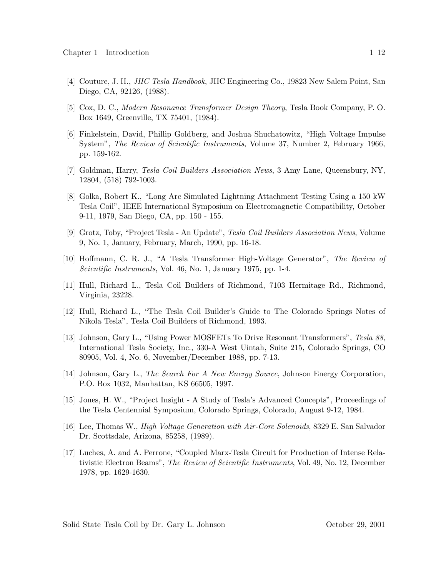- [4] Couture, J. H., *JHC Tesla Handbook*, JHC Engineering Co., 19823 New Salem Point, San Diego, CA, 92126, (1988).
- [5] Cox, D. C., *Modern Resonance Transformer Design Theory*, Tesla Book Company, P. O. Box 1649, Greenville, TX 75401, (1984).
- [6] Finkelstein, David, Phillip Goldberg, and Joshua Shuchatowitz, "High Voltage Impulse System", *The Review of Scientific Instruments*, Volume 37, Number 2, February 1966, pp. 159-162.
- [7] Goldman, Harry, *Tesla Coil Builders Association News*, 3 Amy Lane, Queensbury, NY, 12804, (518) 792-1003.
- [8] Golka, Robert K., "Long Arc Simulated Lightning Attachment Testing Using a 150 kW Tesla Coil", IEEE International Symposium on Electromagnetic Compatibility, October 9-11, 1979, San Diego, CA, pp. 150 - 155.
- [9] Grotz, Toby, "Project Tesla An Update", *Tesla Coil Builders Association News*, Volume 9, No. 1, January, February, March, 1990, pp. 16-18.
- [10] Hoffmann, C. R. J., "A Tesla Transformer High-Voltage Generator", *The Review of Scientific Instruments*, Vol. 46, No. 1, January 1975, pp. 1-4.
- [11] Hull, Richard L., Tesla Coil Builders of Richmond, 7103 Hermitage Rd., Richmond, Virginia, 23228.
- [12] Hull, Richard L., "The Tesla Coil Builder's Guide to The Colorado Springs Notes of Nikola Tesla", Tesla Coil Builders of Richmond, 1993.
- [13] Johnson, Gary L., "Using Power MOSFETs To Drive Resonant Transformers", *Tesla 88*, International Tesla Society, Inc., 330-A West Uintah, Suite 215, Colorado Springs, CO 80905, Vol. 4, No. 6, November/December 1988, pp. 7-13.
- [14] Johnson, Gary L., *The Search For A New Energy Source*, Johnson Energy Corporation, P.O. Box 1032, Manhattan, KS 66505, 1997.
- [15] Jones, H. W., "Project Insight A Study of Tesla's Advanced Concepts", Proceedings of the Tesla Centennial Symposium, Colorado Springs, Colorado, August 9-12, 1984.
- [16] Lee, Thomas W., *High Voltage Generation with Air-Core Solenoids*, 8329 E. San Salvador Dr. Scottsdale, Arizona, 85258, (1989).
- [17] Luches, A. and A. Perrone, "Coupled Marx-Tesla Circuit for Production of Intense Relativistic Electron Beams", *The Review of Scientific Instruments*, Vol. 49, No. 12, December 1978, pp. 1629-1630.